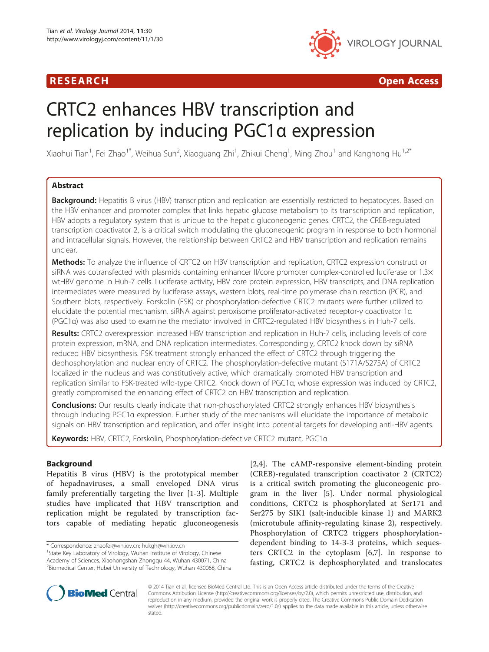## R E S EAR CH Open Access



# CRTC2 enhances HBV transcription and replication by inducing PGC1α expression

Xiaohui Tian<sup>1</sup>, Fei Zhao<sup>1\*</sup>, Weihua Sun<sup>2</sup>, Xiaoguang Zhi<sup>1</sup>, Zhikui Cheng<sup>1</sup>, Ming Zhou<sup>1</sup> and Kanghong Hu<sup>1,2\*</sup>

## Abstract

Background: Hepatitis B virus (HBV) transcription and replication are essentially restricted to hepatocytes. Based on the HBV enhancer and promoter complex that links hepatic glucose metabolism to its transcription and replication, HBV adopts a regulatory system that is unique to the hepatic gluconeogenic genes. CRTC2, the CREB-regulated transcription coactivator 2, is a critical switch modulating the gluconeogenic program in response to both hormonal and intracellular signals. However, the relationship between CRTC2 and HBV transcription and replication remains unclear.

Methods: To analyze the influence of CRTC2 on HBV transcription and replication, CRTC2 expression construct or siRNA was cotransfected with plasmids containing enhancer II/core promoter complex-controlled luciferase or 1.3× wtHBV genome in Huh-7 cells. Luciferase activity, HBV core protein expression, HBV transcripts, and DNA replication intermediates were measured by luciferase assays, western blots, real-time polymerase chain reaction (PCR), and Southern blots, respectively. Forskolin (FSK) or phosphorylation-defective CRTC2 mutants were further utilized to elucidate the potential mechanism. siRNA against peroxisome proliferator-activated receptor-γ coactivator 1α (PGC1α) was also used to examine the mediator involved in CRTC2-regulated HBV biosynthesis in Huh-7 cells.

Results: CRTC2 overexpression increased HBV transcription and replication in Huh-7 cells, including levels of core protein expression, mRNA, and DNA replication intermediates. Correspondingly, CRTC2 knock down by siRNA reduced HBV biosynthesis. FSK treatment strongly enhanced the effect of CRTC2 through triggering the dephosphorylation and nuclear entry of CRTC2. The phosphorylation-defective mutant (S171A/S275A) of CRTC2 localized in the nucleus and was constitutively active, which dramatically promoted HBV transcription and replication similar to FSK-treated wild-type CRTC2. Knock down of PGC1α, whose expression was induced by CRTC2, greatly compromised the enhancing effect of CRTC2 on HBV transcription and replication.

**Conclusions:** Our results clearly indicate that non-phosphorylated CRTC2 strongly enhances HBV biosynthesis through inducing PGC1α expression. Further study of the mechanisms will elucidate the importance of metabolic signals on HBV transcription and replication, and offer insight into potential targets for developing anti-HBV agents.

Keywords: HBV, CRTC2, Forskolin, Phosphorylation-defective CRTC2 mutant, PGC1a

## Background

Hepatitis B virus (HBV) is the prototypical member of hepadnaviruses, a small enveloped DNA virus family preferentially targeting the liver [\[1](#page-7-0)-[3\]](#page-7-0). Multiple studies have implicated that HBV transcription and replication might be regulated by transcription factors capable of mediating hepatic gluconeogenesis

\* Correspondence: [zhaofei@wh.iov.cn](mailto:zhaofei@wh.iov.cn); [hukgh@wh.iov.cn](mailto:hukgh@wh.iov.cn) <sup>1</sup>

[[2,4](#page-7-0)]. The cAMP-responsive element-binding protein (CREB)-regulated transcription coactivator 2 (CRTC2) is a critical switch promoting the gluconeogenic program in the liver [[5\]](#page-7-0). Under normal physiological conditions, CRTC2 is phosphorylated at Ser171 and Ser275 by SIK1 (salt-inducible kinase 1) and MARK2 (microtubule affinity-regulating kinase 2), respectively. Phosphorylation of CRTC2 triggers phosphorylationdependent binding to 14-3-3 proteins, which sequesters CRTC2 in the cytoplasm [[6,7\]](#page-7-0). In response to fasting, CRTC2 is dephosphorylated and translocates



© 2014 Tian et al.; licensee BioMed Central Ltd. This is an Open Access article distributed under the terms of the Creative Commons Attribution License [\(http://creativecommons.org/licenses/by/2.0\)](http://creativecommons.org/licenses/by/2.0), which permits unrestricted use, distribution, and reproduction in any medium, provided the original work is properly cited. The Creative Commons Public Domain Dedication waiver [\(http://creativecommons.org/publicdomain/zero/1.0/\)](http://creativecommons.org/publicdomain/zero/1.0/) applies to the data made available in this article, unless otherwise stated.

<sup>&</sup>lt;sup>1</sup> State Key Laboratory of Virology, Wuhan Institute of Virology, Chinese Academy of Sciences, Xiaohongshan Zhongqu 44, Wuhan 430071, China 2 Biomedical Center, Hubei University of Technology, Wuhan 430068, China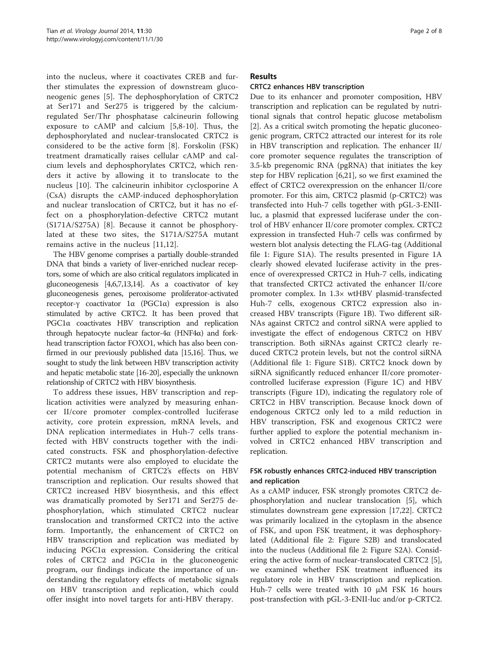into the nucleus, where it coactivates CREB and further stimulates the expression of downstream gluconeogenic genes [\[5](#page-7-0)]. The dephosphorylation of CRTC2 at Ser171 and Ser275 is triggered by the calciumregulated Ser/Thr phosphatase calcineurin following exposure to cAMP and calcium [\[5](#page-7-0),[8-10](#page-7-0)]. Thus, the dephosphorylated and nuclear-translocated CRTC2 is considered to be the active form [\[8](#page-7-0)]. Forskolin (FSK) treatment dramatically raises cellular cAMP and calcium levels and dephosphorylates CRTC2, which renders it active by allowing it to translocate to the nucleus [[10\]](#page-7-0). The calcineurin inhibitor cyclosporine A (CsA) disrupts the cAMP-induced dephosphorylation and nuclear translocation of CRTC2, but it has no effect on a phosphorylation-defective CRTC2 mutant (S171A/S275A) [[8\]](#page-7-0). Because it cannot be phosphorylated at these two sites, the S171A/S275A mutant remains active in the nucleus [[11,12\]](#page-7-0).

The HBV genome comprises a partially double-stranded DNA that binds a variety of liver-enriched nuclear receptors, some of which are also critical regulators implicated in gluconeogenesis [\[4,6,7,13,14](#page-7-0)]. As a coactivator of key gluconeogenesis genes, peroxisome proliferator-activated receptor-γ coactivator 1α (PGC1α) expression is also stimulated by active CRTC2. It has been proved that PGC1α coactivates HBV transcription and replication through hepatocyte nuclear factor-4α (HNF4α) and forkhead transcription factor FOXO1, which has also been confirmed in our previously published data [[15,16\]](#page-7-0). Thus, we sought to study the link between HBV transcription activity and hepatic metabolic state [\[16](#page-7-0)-[20](#page-7-0)], especially the unknown relationship of CRTC2 with HBV biosynthesis.

To address these issues, HBV transcription and replication activities were analyzed by measuring enhancer II/core promoter complex-controlled luciferase activity, core protein expression, mRNA levels, and DNA replication intermediates in Huh-7 cells transfected with HBV constructs together with the indicated constructs. FSK and phosphorylation-defective CRTC2 mutants were also employed to elucidate the potential mechanism of CRTC2's effects on HBV transcription and replication. Our results showed that CRTC2 increased HBV biosynthesis, and this effect was dramatically promoted by Ser171 and Ser275 dephosphorylation, which stimulated CRTC2 nuclear translocation and transformed CRTC2 into the active form. Importantly, the enhancement of CRTC2 on HBV transcription and replication was mediated by inducing PGC1α expression. Considering the critical roles of CRTC2 and PGC1α in the gluconeogenic program, our findings indicate the importance of understanding the regulatory effects of metabolic signals on HBV transcription and replication, which could offer insight into novel targets for anti-HBV therapy.

## **Results**

## CRTC2 enhances HBV transcription

Due to its enhancer and promoter composition, HBV transcription and replication can be regulated by nutritional signals that control hepatic glucose metabolism [[2\]](#page-7-0). As a critical switch promoting the hepatic gluconeogenic program, CRTC2 attracted our interest for its role in HBV transcription and replication. The enhancer II/ core promoter sequence regulates the transcription of 3.5-kb pregenomic RNA (pgRNA) that initiates the key step for HBV replication [\[6,21](#page-7-0)], so we first examined the effect of CRTC2 overexpression on the enhancer II/core promoter. For this aim, CRTC2 plasmid (p-CRTC2) was transfected into Huh-7 cells together with pGL-3-ENIIluc, a plasmid that expressed luciferase under the control of HBV enhancer II/core promoter complex. CRTC2 expression in transfected Huh-7 cells was confirmed by western blot analysis detecting the FLAG-tag (Additional file [1](#page-6-0): Figure S1A). The results presented in Figure [1A](#page-2-0) clearly showed elevated luciferase activity in the presence of overexpressed CRTC2 in Huh-7 cells, indicating that transfected CRTC2 activated the enhancer II/core promoter complex. In 1.3× wtHBV plasmid-transfected Huh-7 cells, exogenous CRTC2 expression also increased HBV transcripts (Figure [1](#page-2-0)B). Two different siR-NAs against CRTC2 and control siRNA were applied to investigate the effect of endogenous CRTC2 on HBV transcription. Both siRNAs against CRTC2 clearly reduced CRTC2 protein levels, but not the control siRNA (Additional file [1:](#page-6-0) Figure S1B). CRTC2 knock down by siRNA significantly reduced enhancer II/core promotercontrolled luciferase expression (Figure [1C](#page-2-0)) and HBV transcripts (Figure [1](#page-2-0)D), indicating the regulatory role of CRTC2 in HBV transcription. Because knock down of endogenous CRTC2 only led to a mild reduction in HBV transcription, FSK and exogenous CRTC2 were further applied to explore the potential mechanism involved in CRTC2 enhanced HBV transcription and replication.

## FSK robustly enhances CRTC2-induced HBV transcription and replication

As a cAMP inducer, FSK strongly promotes CRTC2 dephosphorylation and nuclear translocation [[5\]](#page-7-0), which stimulates downstream gene expression [\[17,22\]](#page-7-0). CRTC2 was primarily localized in the cytoplasm in the absence of FSK, and upon FSK treatment, it was dephosphorylated (Additional file [2:](#page-6-0) Figure S2B) and translocated into the nucleus (Additional file [2:](#page-6-0) Figure S2A). Considering the active form of nuclear-translocated CRTC2 [\[5](#page-7-0)], we examined whether FSK treatment influenced its regulatory role in HBV transcription and replication. Huh-7 cells were treated with 10 μM FSK 16 hours post-transfection with pGL-3-ENII-luc and/or p-CRTC2.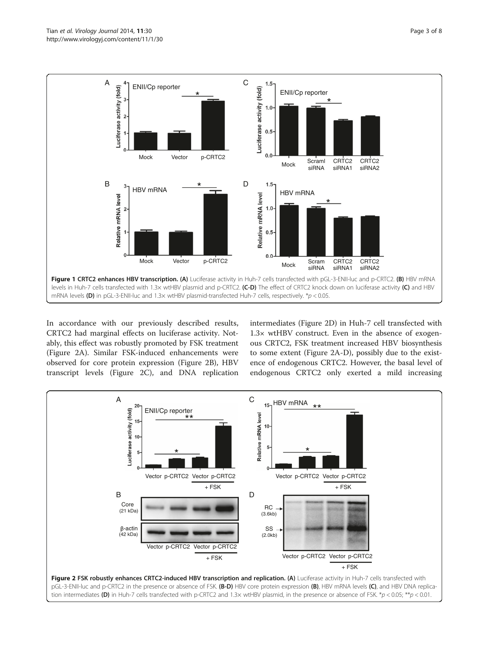<span id="page-2-0"></span>

In accordance with our previously described results, CRTC2 had marginal effects on luciferase activity. Notably, this effect was robustly promoted by FSK treatment (Figure 2A). Similar FSK-induced enhancements were observed for core protein expression (Figure 2B), HBV transcript levels (Figure 2C), and DNA replication

intermediates (Figure 2D) in Huh-7 cell transfected with 1.3× wtHBV construct. Even in the absence of exogenous CRTC2, FSK treatment increased HBV biosynthesis to some extent (Figure 2A-D), possibly due to the existence of endogenous CRTC2. However, the basal level of endogenous CRTC2 only exerted a mild increasing

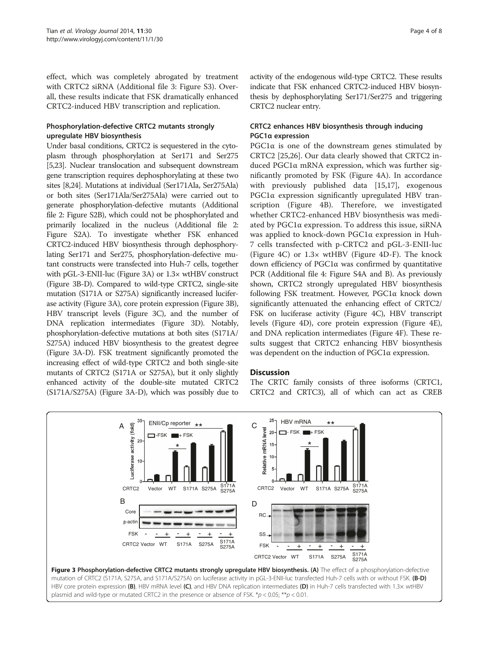effect, which was completely abrogated by treatment with CRTC2 siRNA (Additional file [3](#page-6-0): Figure S3). Overall, these results indicate that FSK dramatically enhanced CRTC2-induced HBV transcription and replication.

## Phosphorylation-defective CRTC2 mutants strongly upregulate HBV biosynthesis

Under basal conditions, CRTC2 is sequestered in the cytoplasm through phosphorylation at Ser171 and Ser275 [[5,23\]](#page-7-0). Nuclear translocation and subsequent downstream gene transcription requires dephosphorylating at these two sites [[8,24\]](#page-7-0). Mutations at individual (Ser171Ala, Ser275Ala) or both sites (Ser171Ala/Ser275Ala) were carried out to generate phosphorylation-defective mutants (Additional file [2](#page-6-0): Figure S2B), which could not be phosphorylated and primarily localized in the nucleus (Additional file [2](#page-6-0): Figure S2A). To investigate whether FSK enhanced CRTC2-induced HBV biosynthesis through dephosphorylating Ser171 and Ser275, phosphorylation-defective mutant constructs were transfected into Huh-7 cells, together with pGL-3-ENII-luc (Figure 3A) or 1.3× wtHBV construct (Figure 3B-D). Compared to wild-type CRTC2, single-site mutation (S171A or S275A) significantly increased luciferase activity (Figure 3A), core protein expression (Figure 3B), HBV transcript levels (Figure 3C), and the number of DNA replication intermediates (Figure 3D). Notably, phosphorylation-defective mutations at both sites (S171A/ S275A) induced HBV biosynthesis to the greatest degree (Figure 3A-D). FSK treatment significantly promoted the increasing effect of wild-type CRTC2 and both single-site mutants of CRTC2 (S171A or S275A), but it only slightly enhanced activity of the double-site mutated CRTC2 (S171A/S275A) (Figure 3A-D), which was possibly due to activity of the endogenous wild-type CRTC2. These results indicate that FSK enhanced CRTC2-induced HBV biosynthesis by dephosphorylating Ser171/Ser275 and triggering CRTC2 nuclear entry.

## CRTC2 enhances HBV biosynthesis through inducing PGC1α expression

PGC1 $\alpha$  is one of the downstream genes stimulated by CRTC2 [\[25,26](#page-7-0)]. Our data clearly showed that CRTC2 induced PGC1α mRNA expression, which was further significantly promoted by FSK (Figure [4](#page-4-0)A). In accordance with previously published data [[15](#page-7-0),[17](#page-7-0)], exogenous PGC1α expression significantly upregulated HBV transcription (Figure [4B](#page-4-0)). Therefore, we investigated whether CRTC2-enhanced HBV biosynthesis was mediated by PGC1α expression. To address this issue, siRNA was applied to knock-down PGC1α expression in Huh-7 cells transfected with p-CRTC2 and pGL-3-ENII-luc (Figure [4C](#page-4-0)) or 1.3× wtHBV (Figure [4D](#page-4-0)-F). The knock down efficiency of PGC1α was confirmed by quantitative PCR (Additional file [4:](#page-6-0) Figure S4A and B). As previously shown, CRTC2 strongly upregulated HBV biosynthesis following FSK treatment. However, PGC1α knock down significantly attenuated the enhancing effect of CRTC2/ FSK on luciferase activity (Figure [4C](#page-4-0)), HBV transcript levels (Figure [4](#page-4-0)D), core protein expression (Figure [4](#page-4-0)E), and DNA replication intermediates (Figure [4F](#page-4-0)). These results suggest that CRTC2 enhancing HBV biosynthesis was dependent on the induction of PGC1α expression.

## **Discussion**

The CRTC family consists of three isoforms (CRTC1, CRTC2 and CRTC3), all of which can act as CREB

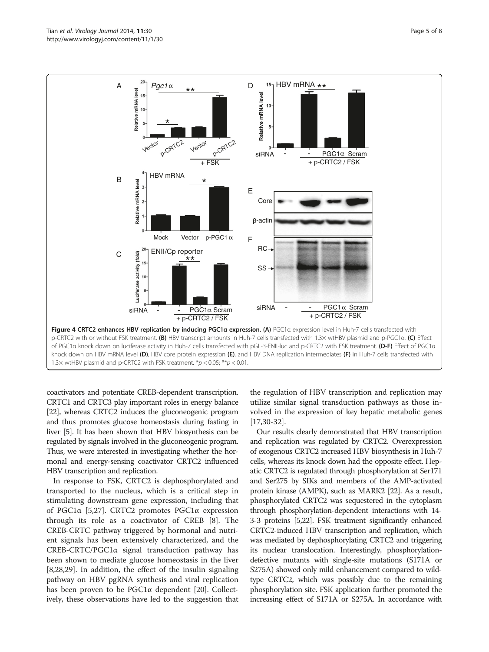<span id="page-4-0"></span>

coactivators and potentiate CREB-dependent transcription. CRTC1 and CRTC3 play important roles in energy balance [[22](#page-7-0)], whereas CRTC2 induces the gluconeogenic program and thus promotes glucose homeostasis during fasting in liver [\[5\]](#page-7-0). It has been shown that HBV biosynthesis can be regulated by signals involved in the gluconeogenic program. Thus, we were interested in investigating whether the hormonal and energy-sensing coactivator CRTC2 influenced HBV transcription and replication.

In response to FSK, CRTC2 is dephosphorylated and transported to the nucleus, which is a critical step in stimulating downstream gene expression, including that of PGC1α [\[5,27](#page-7-0)]. CRTC2 promotes PGC1α expression through its role as a coactivator of CREB [[8\]](#page-7-0). The CREB-CRTC pathway triggered by hormonal and nutrient signals has been extensively characterized, and the CREB-CRTC/PGC1α signal transduction pathway has been shown to mediate glucose homeostasis in the liver [[8,28,29\]](#page-7-0). In addition, the effect of the insulin signaling pathway on HBV pgRNA synthesis and viral replication has been proven to be PGC1α dependent [\[20\]](#page-7-0). Collectively, these observations have led to the suggestion that the regulation of HBV transcription and replication may utilize similar signal transduction pathways as those involved in the expression of key hepatic metabolic genes [[17,30-32](#page-7-0)].

Our results clearly demonstrated that HBV transcription and replication was regulated by CRTC2. Overexpression of exogenous CRTC2 increased HBV biosynthesis in Huh-7 cells, whereas its knock down had the opposite effect. Hepatic CRTC2 is regulated through phosphorylation at Ser171 and Ser275 by SIKs and members of the AMP-activated protein kinase (AMPK), such as MARK2 [\[22\]](#page-7-0). As a result, phosphorylated CRTC2 was sequestered in the cytoplasm through phosphorylation-dependent interactions with 14- 3-3 proteins [\[5,22](#page-7-0)]. FSK treatment significantly enhanced CRTC2-induced HBV transcription and replication, which was mediated by dephosphorylating CRTC2 and triggering its nuclear translocation. Interestingly, phosphorylationdefective mutants with single-site mutations (S171A or S275A) showed only mild enhancement compared to wildtype CRTC2, which was possibly due to the remaining phosphorylation site. FSK application further promoted the increasing effect of S171A or S275A. In accordance with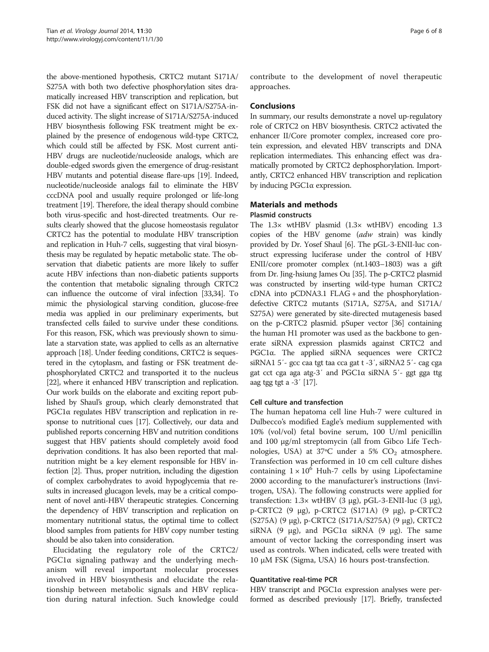the above-mentioned hypothesis, CRTC2 mutant S171A/ S275A with both two defective phosphorylation sites dramatically increased HBV transcription and replication, but FSK did not have a significant effect on S171A/S275A-induced activity. The slight increase of S171A/S275A-induced HBV biosynthesis following FSK treatment might be explained by the presence of endogenous wild-type CRTC2, which could still be affected by FSK. Most current anti-HBV drugs are nucleotide/nucleoside analogs, which are double-edged swords given the emergence of drug-resistant HBV mutants and potential disease flare-ups [[19](#page-7-0)]. Indeed, nucleotide/nucleoside analogs fail to eliminate the HBV cccDNA pool and usually require prolonged or life-long treatment [\[19\]](#page-7-0). Therefore, the ideal therapy should combine both virus-specific and host-directed treatments. Our results clearly showed that the glucose homeostasis regulator CRTC2 has the potential to modulate HBV transcription and replication in Huh-7 cells, suggesting that viral biosynthesis may be regulated by hepatic metabolic state. The observation that diabetic patients are more likely to suffer acute HBV infections than non-diabetic patients supports the contention that metabolic signaling through CRTC2 can influence the outcome of viral infection [\[33,34](#page-7-0)]. To mimic the physiological starving condition, glucose-free media was applied in our preliminary experiments, but transfected cells failed to survive under these conditions. For this reason, FSK, which was previously shown to simulate a starvation state, was applied to cells as an alternative approach [[18](#page-7-0)]. Under feeding conditions, CRTC2 is sequestered in the cytoplasm, and fasting or FSK treatment dephosphorylated CRTC2 and transported it to the nucleus [[22](#page-7-0)], where it enhanced HBV transcription and replication. Our work builds on the elaborate and exciting report published by Shaul's group, which clearly demonstrated that PGC1α regulates HBV transcription and replication in response to nutritional cues [[17\]](#page-7-0). Collectively, our data and published reports concerning HBV and nutrition conditions suggest that HBV patients should completely avoid food deprivation conditions. It has also been reported that malnutrition might be a key element responsible for HBV infection [\[2\]](#page-7-0). Thus, proper nutrition, including the digestion of complex carbohydrates to avoid hypoglycemia that results in increased glucagon levels, may be a critical component of novel anti-HBV therapeutic strategies. Concerning the dependency of HBV transcription and replication on momentary nutritional status, the optimal time to collect blood samples from patients for HBV copy number testing should be also taken into consideration.

Elucidating the regulatory role of the CRTC2/ PGC1 $α$  signaling pathway and the underlying mechanism will reveal important molecular processes involved in HBV biosynthesis and elucidate the relationship between metabolic signals and HBV replication during natural infection. Such knowledge could contribute to the development of novel therapeutic approaches.

#### **Conclusions**

In summary, our results demonstrate a novel up-regulatory role of CRTC2 on HBV biosynthesis. CRTC2 activated the enhancer II/Core promoter complex, increased core protein expression, and elevated HBV transcripts and DNA replication intermediates. This enhancing effect was dramatically promoted by CRTC2 dephosphorylation. Importantly, CRTC2 enhanced HBV transcription and replication by inducing PGC1α expression.

## Materials and methods

#### Plasmid constructs

The  $1.3\times$  wtHBV plasmid ( $1.3\times$  wtHBV) encoding 1.3 copies of the HBV genome (adw strain) was kindly provided by Dr. Yosef Shaul [\[6\]](#page-7-0). The pGL-3-ENII-luc construct expressing luciferase under the control of HBV ENII/core promoter complex (nt.1403–1803) was a gift from Dr. Jing-hsiung James Ou [\[35](#page-7-0)]. The p-CRTC2 plasmid was constructed by inserting wild-type human CRTC2  $cDNA$  into  $pCDNA3.1$   $FLAG + and$  the phosphorylationdefective CRTC2 mutants (S171A, S275A, and S171A/ S275A) were generated by site-directed mutagenesis based on the p-CRTC2 plasmid. pSuper vector [\[36\]](#page-7-0) containing the human H1 promoter was used as the backbone to generate siRNA expression plasmids against CRTC2 and PGC1α. The applied siRNA sequences were CRTC2 siRNA1 5′- gcc caa tgt taa cca gat t -3′, siRNA2 5′- cag cga gat cct cga aga atg-3′ and PGC1α siRNA 5′- ggt gga ttg aag tgg tgt a -3′ [\[17\]](#page-7-0).

#### Cell culture and transfection

The human hepatoma cell line Huh-7 were cultured in Dulbecco's modified Eagle's medium supplemented with 10% (vol/vol) fetal bovine serum, 100 U/ml penicillin and 100 μg/ml streptomycin (all from Gibco Life Technologies, USA) at 37°C under a 5%  $CO<sub>2</sub>$  atmosphere. Transfection was performed in 10 cm cell culture dishes containing  $1 \times 10^6$  Huh-7 cells by using Lipofectamine 2000 according to the manufacturer's instructions (Invitrogen, USA). The following constructs were applied for transfection: 1.3× wtHBV (3 μg), pGL-3-ENII-luc (3 μg), p-CRTC2 (9 μg), p-CRTC2 (S171A) (9 μg), p-CRTC2 (S275A) (9 μg), p-CRTC2 (S171A/S275A) (9 μg), CRTC2 siRNA (9 μg), and PGC1 $\alpha$  siRNA (9 μg). The same amount of vector lacking the corresponding insert was used as controls. When indicated, cells were treated with 10 μM FSK (Sigma, USA) 16 hours post-transfection.

#### Quantitative real-time PCR

HBV transcript and PGC1α expression analyses were performed as described previously [\[17](#page-7-0)]. Briefly, transfected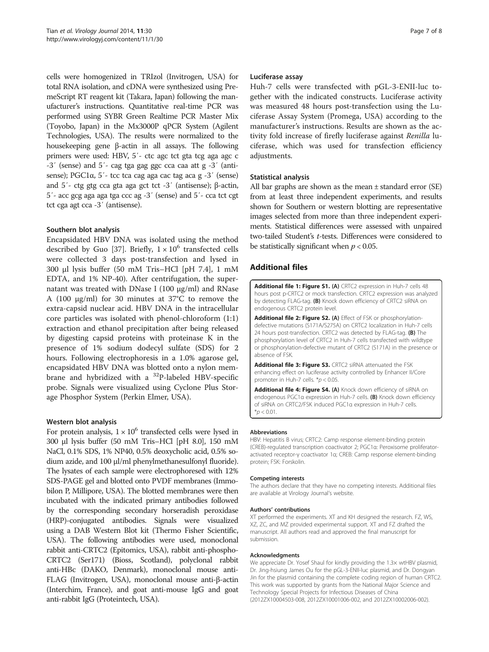<span id="page-6-0"></span>cells were homogenized in TRIzol (Invitrogen, USA) for total RNA isolation, and cDNA were synthesized using PremeScript RT reagent kit (Takara, Japan) following the manufacturer's instructions. Quantitative real-time PCR was performed using SYBR Green Realtime PCR Master Mix (Toyobo, Japan) in the Mx3000P qPCR System (Agilent Technologies, USA). The results were normalized to the housekeeping gene β-actin in all assays. The following primers were used: HBV, 5′- ctc agc tct gta tcg aga agc c -3′ (sense) and 5′- cag tga gag ggc cca caa att g -3′ (antisense); PGC1α, 5′- tcc tca cag aga cac tag aca g -3′ (sense) and 5′- ctg gtg cca gta aga gct tct -3′ (antisense); β-actin, 5′- acc gcg aga aga tga ccc ag -3′ (sense) and 5′- cca tct cgt tct cga agt cca -3′ (antisense).

## Southern blot analysis

Encapsidated HBV DNA was isolated using the method described by Guo [[37\]](#page-7-0). Briefly,  $1 \times 10^6$  transfected cells were collected 3 days post-transfection and lysed in 300 μl lysis buffer (50 mM Tris–HCl [pH 7.4], 1 mM EDTA, and 1% NP-40). After centrifugation, the supernatant was treated with DNase I (100 μg/ml) and RNase A (100 μg/ml) for 30 minutes at 37°C to remove the extra-capsid nuclear acid. HBV DNA in the intracellular core particles was isolated with phenol-chloroform (1:1) extraction and ethanol precipitation after being released by digesting capsid proteins with proteinase K in the presence of 1% sodium dodecyl sulfate (SDS) for 2 hours. Following electrophoresis in a 1.0% agarose gel, encapsidated HBV DNA was blotted onto a nylon membrane and hybridized with a  $32P$ -labeled HBV-specific probe. Signals were visualized using Cyclone Plus Storage Phosphor System (Perkin Elmer, USA).

## Western blot analysis

For protein analysis,  $1 \times 10^6$  transfected cells were lysed in 300 μl lysis buffer (50 mM Tris–HCl [pH 8.0], 150 mM NaCl, 0.1% SDS, 1% NP40, 0.5% deoxycholic acid, 0.5% sodium azide, and 100 μl/ml phenylmethanesulfonyl fluoride). The lysates of each sample were electrophoresed with 12% SDS-PAGE gel and blotted onto PVDF membranes (Immobilon P, Millipore, USA). The blotted membranes were then incubated with the indicated primary antibodies followed by the corresponding secondary horseradish peroxidase (HRP)-conjugated antibodies. Signals were visualized using a DAB Western Blot kit (Thermo Fisher Scientific, USA). The following antibodies were used, monoclonal rabbit anti-CRTC2 (Epitomics, USA), rabbit anti-phospho-CRTC2 (Ser171) (Bioss, Scotland), polyclonal rabbit anti-HBc (DAKO, Denmark), monoclonal mouse anti-FLAG (Invitrogen, USA), monoclonal mouse anti-β-actin (Interchim, France), and goat anti-mouse IgG and goat anti-rabbit IgG (Proteintech, USA).

#### Luciferase assay

Huh-7 cells were transfected with pGL-3-ENII-luc together with the indicated constructs. Luciferase activity was measured 48 hours post-transfection using the Luciferase Assay System (Promega, USA) according to the manufacturer's instructions. Results are shown as the activity fold increase of firefly luciferase against Renilla luciferase, which was used for transfection efficiency adjustments.

## Statistical analysis

All bar graphs are shown as the mean  $\pm$  standard error (SE) from at least three independent experiments, and results shown for Southern or western blotting are representative images selected from more than three independent experiments. Statistical differences were assessed with unpaired two-tailed Student's t-tests. Differences were considered to be statistically significant when  $p < 0.05$ .

## Additional files

[Additional file 1: Figure S1.](http://www.biomedcentral.com/content/supplementary/1743-422X-11-30-S1.pptx) (A) CRTC2 expression in Huh-7 cells 48 hours post p-CRTC2 or mock transfection. CRTC2 expression was analyzed by detecting FLAG-tag. (B) Knock down efficiency of CRTC2 siRNA on endogenous CRTC2 protein level.

[Additional file 2: Figure S2.](http://www.biomedcentral.com/content/supplementary/1743-422X-11-30-S2.pptx) (A) Effect of FSK or phosphorylationdefective mutations (S171A/S275A) on CRTC2 localization in Huh-7 cells 24 hours post-transfection. CRTC2 was detected by FLAG-tag. (B) The phosphorylation level of CRTC2 in Huh-7 cells transfected with wildtype or phosphorylation-defective mutant of CRTC2 (S171A) in the presence or absence of FSK.

[Additional file 3: Figure S3.](http://www.biomedcentral.com/content/supplementary/1743-422X-11-30-S3.pptx) CRTC2 siRNA attenuated the FSK enhancing effect on luciferase activity controlled by Enhancer II/Core promoter in Huh-7 cells. \*p < 0.05.

[Additional file 4: Figure S4.](http://www.biomedcentral.com/content/supplementary/1743-422X-11-30-S4.pptx) (A) Knock down efficiency of siRNA on endogenous PGC1α expression in Huh-7 cells. (B) Knock down efficiency of siRNA on CRTC2/FSK induced PGC1α expression in Huh-7 cells.  $*_{D}$  < 0.01

#### Abbreviations

HBV: Hepatitis B virus; CRTC2: Camp response element-binding protein (CREB)-regulated transcription coactivator 2; PGC1α: Peroxisome proliferatoractivated receptor-γ coactivator 1α; CREB: Camp response element-binding protein; FSK: Forskolin.

#### Competing interests

The authors declare that they have no competing interests. Additional files are available at Virology Journal's website.

#### Authors' contributions

XT performed the experiments. XT and KH designed the research. FZ, WS, XZ, ZC, and MZ provided experimental support. XT and FZ drafted the manuscript. All authors read and approved the final manuscript for submission.

#### Acknowledgments

We appreciate Dr. Yosef Shaul for kindly providing the 1.3x wtHBV plasmid, Dr. Jing-hsiung James Ou for the pGL-3-ENII-luc plasmid, and Dr. Dongyan Jin for the plasmid containing the complete coding region of human CRTC2. This work was supported by grants from the National Major Science and Technology Special Projects for Infectious Diseases of China (2012ZX10004503-008, 2012ZX10001006-002, and 2012ZX10002006-002).